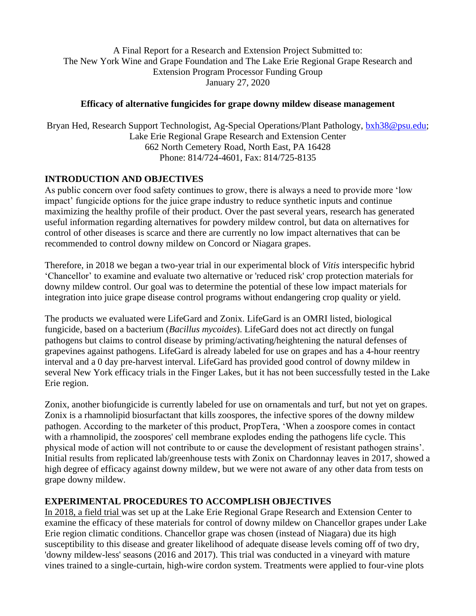A Final Report for a Research and Extension Project Submitted to: The New York Wine and Grape Foundation and The Lake Erie Regional Grape Research and Extension Program Processor Funding Group January 27, 2020

### **Efficacy of alternative fungicides for grape downy mildew disease management**

Bryan Hed, Research Support Technologist, Ag-Special Operations/Plant Pathology, [bxh38@psu.edu;](mailto:bxh38@psu.edu) Lake Erie Regional Grape Research and Extension Center 662 North Cemetery Road, North East, PA 16428 Phone: 814/724-4601, Fax: 814/725-8135

# **INTRODUCTION AND OBJECTIVES**

As public concern over food safety continues to grow, there is always a need to provide more 'low impact' fungicide options for the juice grape industry to reduce synthetic inputs and continue maximizing the healthy profile of their product. Over the past several years, research has generated useful information regarding alternatives for powdery mildew control, but data on alternatives for control of other diseases is scarce and there are currently no low impact alternatives that can be recommended to control downy mildew on Concord or Niagara grapes.

Therefore, in 2018 we began a two-year trial in our experimental block of *Vitis* interspecific hybrid 'Chancellor' to examine and evaluate two alternative or 'reduced risk' crop protection materials for downy mildew control. Our goal was to determine the potential of these low impact materials for integration into juice grape disease control programs without endangering crop quality or yield.

The products we evaluated were LifeGard and Zonix. LifeGard is an OMRI listed, biological fungicide, based on a bacterium (*Bacillus mycoides*). LifeGard does not act directly on fungal pathogens but claims to control disease by priming/activating/heightening the natural defenses of grapevines against pathogens. LifeGard is already labeled for use on grapes and has a 4-hour reentry interval and a 0 day pre-harvest interval. LifeGard has provided good control of downy mildew in several New York efficacy trials in the Finger Lakes, but it has not been successfully tested in the Lake Erie region.

Zonix, another biofungicide is currently labeled for use on ornamentals and turf, but not yet on grapes. Zonix is a rhamnolipid biosurfactant that kills zoospores, the infective spores of the downy mildew pathogen. According to the marketer of this product, PropTera, 'When a zoospore comes in contact with a rhamnolipid, the zoospores' cell membrane explodes ending the pathogens life cycle. This physical mode of action will not contribute to or cause the development of resistant pathogen strains'. Initial results from replicated lab/greenhouse tests with Zonix on Chardonnay leaves in 2017, showed a high degree of efficacy against downy mildew, but we were not aware of any other data from tests on grape downy mildew.

## **EXPERIMENTAL PROCEDURES TO ACCOMPLISH OBJECTIVES**

In 2018, a field trial was set up at the Lake Erie Regional Grape Research and Extension Center to examine the efficacy of these materials for control of downy mildew on Chancellor grapes under Lake Erie region climatic conditions. Chancellor grape was chosen (instead of Niagara) due its high susceptibility to this disease and greater likelihood of adequate disease levels coming off of two dry, 'downy mildew-less' seasons (2016 and 2017). This trial was conducted in a vineyard with mature vines trained to a single-curtain, high-wire cordon system. Treatments were applied to four-vine plots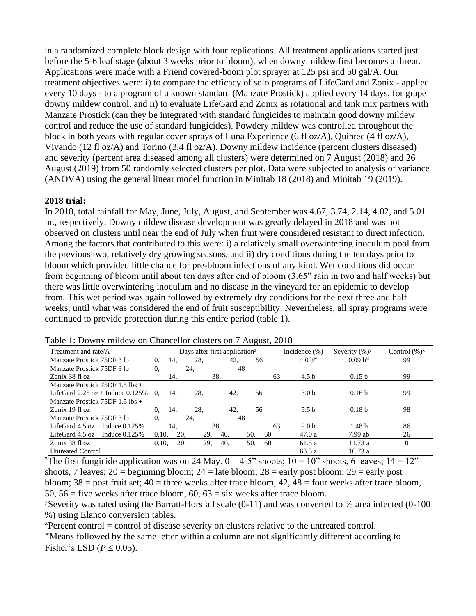in a randomized complete block design with four replications. All treatment applications started just before the 5-6 leaf stage (about 3 weeks prior to bloom), when downy mildew first becomes a threat. Applications were made with a Friend covered-boom plot sprayer at 125 psi and 50 gal/A. Our treatment objectives were: i) to compare the efficacy of solo programs of LifeGard and Zonix - applied every 10 days - to a program of a known standard (Manzate Prostick) applied every 14 days, for grape downy mildew control, and ii) to evaluate LifeGard and Zonix as rotational and tank mix partners with Manzate Prostick (can they be integrated with standard fungicides to maintain good downy mildew control and reduce the use of standard fungicides). Powdery mildew was controlled throughout the block in both years with regular cover sprays of Luna Experience (6 fl oz/A), Quintec (4 fl oz/A), Vivando (12 fl oz/A) and Torino (3.4 fl oz/A). Downy mildew incidence (percent clusters diseased) and severity (percent area diseased among all clusters) were determined on 7 August (2018) and 26 August (2019) from 50 randomly selected clusters per plot. Data were subjected to analysis of variance (ANOVA) using the general linear model function in Minitab 18 (2018) and Minitab 19 (2019).

### **2018 trial:**

In 2018, total rainfall for May, June, July, August, and September was 4.67, 3.74, 2.14, 4.02, and 5.01 in., respectively. Downy mildew disease development was greatly delayed in 2018 and was not observed on clusters until near the end of July when fruit were considered resistant to direct infection. Among the factors that contributed to this were: i) a relatively small overwintering inoculum pool from the previous two, relatively dry growing seasons, and ii) dry conditions during the ten days prior to bloom which provided little chance for pre-bloom infections of any kind. Wet conditions did occur from beginning of bloom until about ten days after end of bloom (3.65" rain in two and half weeks) but there was little overwintering inoculum and no disease in the vineyard for an epidemic to develop from. This wet period was again followed by extremely dry conditions for the next three and half weeks, until what was considered the end of fruit susceptibility. Nevertheless, all spray programs were continued to provide protection during this entire period (table 1).

| Treatment and rate/A                  | Days after first application <sup><math>z</math></sup> |     |     |     |     |    | Incidence $(\% )$  | Severity $(\%)^y$ | Control $(\%)^x$ |
|---------------------------------------|--------------------------------------------------------|-----|-----|-----|-----|----|--------------------|-------------------|------------------|
| Manzate Prostick 75DF 3 lb            | 0.                                                     | 14. | 28. | 42, | 56  |    | 4.0 b <sup>w</sup> | $0.09 b^{w}$      | 99               |
| Manzate Prostick 75DF 3 lb            | 0.                                                     |     | 24, |     | 48  |    |                    |                   |                  |
| Zonix 38 fl oz                        |                                                        | 14. |     | 38. |     | 63 | 4.5 <sub>b</sub>   | 0.15 <sub>b</sub> | 99               |
| Manzate Prostick $75DF$ 1.5 lbs +     |                                                        |     |     |     |     |    |                    |                   |                  |
| LifeGard $2.25$ oz + Induce $0.125\%$ | $\Omega$ .                                             | 14. | 28. | 42. | 56  |    | 3.0 <sub>b</sub>   | 0.16 <sub>b</sub> | 99               |
| Manzate Prostick $75DF$ 1.5 lbs +     |                                                        |     |     |     |     |    |                    |                   |                  |
| Zonix 19 fl oz                        | 0.                                                     | 14. | 28. | 42. | 56  |    | 5.5 $h$            | 0.18 <sub>b</sub> | 98               |
| Manzate Prostick 75DF 3 lb            | 0.                                                     |     | 24. |     | 48  |    |                    |                   |                  |
| LifeGard $4.5$ oz + Induce $0.125\%$  |                                                        | 14. |     | 38. |     | 63 | 9.0 <sub>b</sub>   | 1.48 <sub>b</sub> | 86               |
| LifeGard $4.5$ oz + Induce $0.125\%$  | 0.10.                                                  | 20. | 29. | 40. | 50, | 60 | 47.0a              | $7.99$ ab         | 26               |
| Zonix 38 fl oz                        | 0.10.                                                  | 20. | 29. | 40. | 50. | 60 | 61.5a              | 11.73a            | $\Omega$         |
| <b>Untreated Control</b>              |                                                        |     |     |     |     |    | 63.5a              | 10.73a            |                  |

Table 1: Downy mildew on Chancellor clusters on 7 August, 2018

<sup>z</sup>The first fungicide application was on 24 May.  $0 = 4.5$ " shoots;  $10 = 10$ " shoots, 6 leaves;  $14 = 12$ " shoots, 7 leaves;  $20 =$  beginning bloom;  $24 =$  late bloom;  $28 =$  early post bloom;  $29 =$  early post bloom;  $38 =$  post fruit set;  $40 =$  three weeks after trace bloom,  $42$ ,  $48 =$  four weeks after trace bloom, 50,  $56$  = five weeks after trace bloom,  $60$ ,  $63$  = six weeks after trace bloom.

<sup>y</sup>Severity was rated using the Barratt-Horsfall scale  $(0-11)$  and was converted to % area infected  $(0-100)$ %) using Elanco conversion tables.

 $x$ Percent control = control of disease severity on clusters relative to the untreated control.

<sup>w</sup>Means followed by the same letter within a column are not significantly different according to Fisher's LSD ( $P \le 0.05$ ).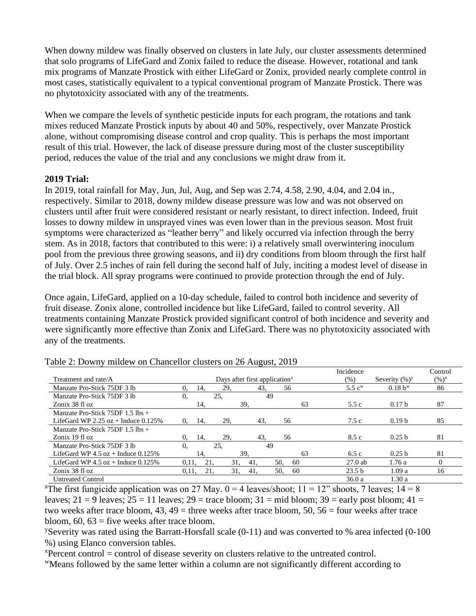When downy mildew was finally observed on clusters in late July, our cluster assessments determined that solo programs of LifeGard and Zonix failed to reduce the disease. However, rotational and tank mix programs of Manzate Prostick with either LifeGard or Zonix, provided nearly complete control in most cases, statistically equivalent to a typical conventional program of Manzate Prostick. There was no phytotoxicity associated with any of the treatments.

When we compare the levels of synthetic pesticide inputs for each program, the rotations and tank mixes reduced Manzate Prostick inputs by about 40 and 50%, respectively, over Manzate Prostick alone, without compromising disease control and crop quality. This is perhaps the most important result of this trial. However, the lack of disease pressure during most of the cluster susceptibility period, reduces the value of the trial and any conclusions we might draw from it.

### **2019 Trial:**

In 2019, total rainfall for May, Jun, Jul, Aug, and Sep was 2.74, 4.58, 2.90, 4.04, and 2.04 in., respectively. Similar to 2018, downy mildew disease pressure was low and was not observed on clusters until after fruit were considered resistant or nearly resistant, to direct infection. Indeed, fruit losses to downy mildew in unsprayed vines was even lower than in the previous season. Most fruit symptoms were characterized as "leather berry" and likely occurred via infection through the berry stem. As in 2018, factors that contributed to this were: i) a relatively small overwintering inoculum pool from the previous three growing seasons, and ii) dry conditions from bloom through the first half of July. Over 2.5 inches of rain fell during the second half of July, inciting a modest level of disease in the trial block. All spray programs were continued to provide protection through the end of July.

Once again, LifeGard, applied on a 10-day schedule, failed to control both incidence and severity of fruit disease. Zonix alone, controlled incidence but like LifeGard, failed to control severity. All treatments containing Manzate Prostick provided significant control of both incidence and severity and were significantly more effective than Zonix and LifeGard. There was no phytotoxicity associated with any of the treatments.

|                                       |                                                        |     |            |     |     |    | Incidence            |                   | Control           |
|---------------------------------------|--------------------------------------------------------|-----|------------|-----|-----|----|----------------------|-------------------|-------------------|
| Treatment and rate/A                  | Days after first application <sup><math>z</math></sup> |     |            |     |     |    | $(\%)$               | Severity $(\%)^y$ | $(\frac{9}{6})^x$ |
| Manzate Pro-Stick 75DF 3 lb           | 0.                                                     | 14. | 29,        | 43. | 56  |    | $5.5$ c <sup>w</sup> | $0.18 b^{w}$      | 86                |
| Manzate Pro-Stick 75DF 3 lb           | $\theta$ .                                             |     | 25.        | 49  |     |    |                      |                   |                   |
| Zonix 38 fl oz                        |                                                        | 14. |            | 39. |     | 63 | 5.5c                 | 0.17 <sub>b</sub> | 87                |
| Manzate Pro-Stick $75DF$ 1.5 lbs +    |                                                        |     |            |     |     |    |                      |                   |                   |
| LifeGard WP 2.25 $oz$ + Induce 0.125% | 0.                                                     | 14. | 29,        | 43. | 56  |    | 7.5c                 | 0.19 <sub>b</sub> | 85                |
| Manzate Pro-Stick $75DF$ 1.5 lbs +    |                                                        |     |            |     |     |    |                      |                   |                   |
| Zonix 19 fl oz                        | 0.                                                     | 14. | 29.        | 43. | 56  |    | 8.5 c                | 0.25 <sub>b</sub> | 81                |
| Manzate Pro-Stick 75DF 3 lb           | $\theta$ .                                             |     | 25.        | 49  |     |    |                      |                   |                   |
| LifeGard WP 4.5 $oz$ + Induce 0.125%  |                                                        | 14. |            | 39. |     | 63 | 6.5c                 | 0.25 <sub>b</sub> | 81                |
| LifeGard WP $4.5$ oz + Induce 0.125%  | 0.11.                                                  | 21. | 31.        | 41. | 50. | 60 | $27.0$ ab            | 1.76a             | $\Omega$          |
| Zonix 38 fl oz                        | 0.11,                                                  |     | 31,<br>21. | 41. | 50. | 60 | 23.5 <sub>b</sub>    | 1.09a             | 16                |
| <b>Untreated Control</b>              |                                                        |     |            |     |     |    | 36.0a                | 1.30a             |                   |

|  | Table 2: Downy mildew on Chancellor clusters on 26 August, 2019 |  |
|--|-----------------------------------------------------------------|--|
|  |                                                                 |  |

<sup>z</sup>The first fungicide application was on 27 May.  $0 = 4$  leaves/shoot;  $11 = 12$ " shoots, 7 leaves;  $14 = 8$ leaves;  $21 = 9$  leaves;  $25 = 11$  leaves;  $29 =$  trace bloom;  $31 =$  mid bloom;  $39 =$  early post bloom;  $41 =$ two weeks after trace bloom,  $43, 49$  = three weeks after trace bloom,  $50, 56$  = four weeks after trace bloom,  $60$ ,  $63$  = five weeks after trace bloom.

<sup>y</sup>Severity was rated using the Barratt-Horsfall scale  $(0-11)$  and was converted to % area infected  $(0-100)$ %) using Elanco conversion tables.

 $x$ Percent control = control of disease severity on clusters relative to the untreated control.

<sup>w</sup>Means followed by the same letter within a column are not significantly different according to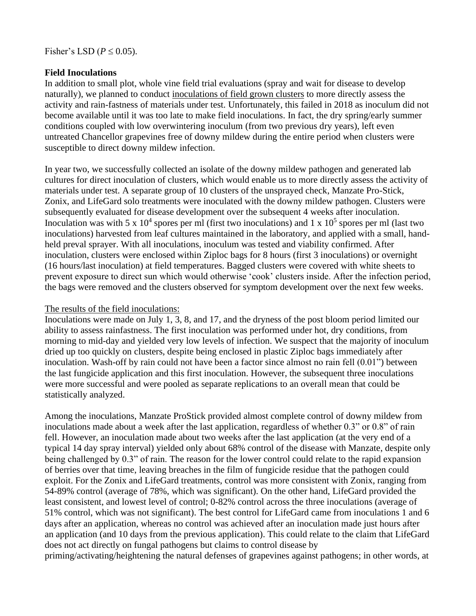### **Field Inoculations**

In addition to small plot, whole vine field trial evaluations (spray and wait for disease to develop naturally), we planned to conduct inoculations of field grown clusters to more directly assess the activity and rain-fastness of materials under test. Unfortunately, this failed in 2018 as inoculum did not become available until it was too late to make field inoculations. In fact, the dry spring/early summer conditions coupled with low overwintering inoculum (from two previous dry years), left even untreated Chancellor grapevines free of downy mildew during the entire period when clusters were susceptible to direct downy mildew infection.

In year two, we successfully collected an isolate of the downy mildew pathogen and generated lab cultures for direct inoculation of clusters, which would enable us to more directly assess the activity of materials under test. A separate group of 10 clusters of the unsprayed check, Manzate Pro-Stick, Zonix, and LifeGard solo treatments were inoculated with the downy mildew pathogen. Clusters were subsequently evaluated for disease development over the subsequent 4 weeks after inoculation. Inoculation was with 5 x  $10^4$  spores per ml (first two inoculations) and 1 x  $10^5$  spores per ml (last two inoculations) harvested from leaf cultures maintained in the laboratory, and applied with a small, handheld preval sprayer. With all inoculations, inoculum was tested and viability confirmed. After inoculation, clusters were enclosed within Ziploc bags for 8 hours (first 3 inoculations) or overnight (16 hours/last inoculation) at field temperatures. Bagged clusters were covered with white sheets to prevent exposure to direct sun which would otherwise 'cook' clusters inside. After the infection period, the bags were removed and the clusters observed for symptom development over the next few weeks.

#### The results of the field inoculations:

Inoculations were made on July 1, 3, 8, and 17, and the dryness of the post bloom period limited our ability to assess rainfastness. The first inoculation was performed under hot, dry conditions, from morning to mid-day and yielded very low levels of infection. We suspect that the majority of inoculum dried up too quickly on clusters, despite being enclosed in plastic Ziploc bags immediately after inoculation. Wash-off by rain could not have been a factor since almost no rain fell (0.01") between the last fungicide application and this first inoculation. However, the subsequent three inoculations were more successful and were pooled as separate replications to an overall mean that could be statistically analyzed.

Among the inoculations, Manzate ProStick provided almost complete control of downy mildew from inoculations made about a week after the last application, regardless of whether 0.3" or 0.8" of rain fell. However, an inoculation made about two weeks after the last application (at the very end of a typical 14 day spray interval) yielded only about 68% control of the disease with Manzate, despite only being challenged by 0.3" of rain. The reason for the lower control could relate to the rapid expansion of berries over that time, leaving breaches in the film of fungicide residue that the pathogen could exploit. For the Zonix and LifeGard treatments, control was more consistent with Zonix, ranging from 54-89% control (average of 78%, which was significant). On the other hand, LifeGard provided the least consistent, and lowest level of control; 0-82% control across the three inoculations (average of 51% control, which was not significant). The best control for LifeGard came from inoculations 1 and 6 days after an application, whereas no control was achieved after an inoculation made just hours after an application (and 10 days from the previous application). This could relate to the claim that LifeGard does not act directly on fungal pathogens but claims to control disease by

priming/activating/heightening the natural defenses of grapevines against pathogens; in other words, at